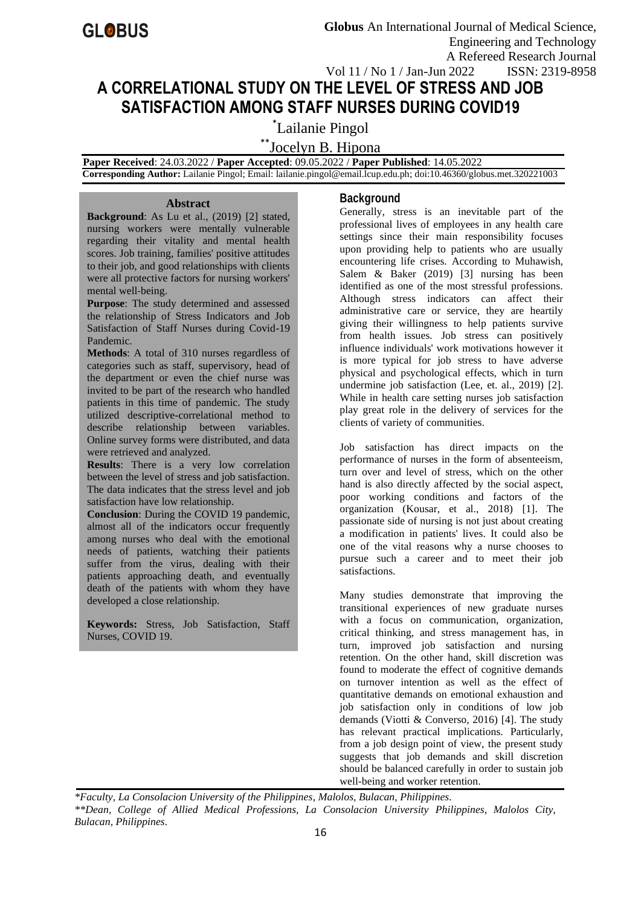# **A CORRELATIONAL STUDY ON THE LEVEL OF STRESS AND JOB SATISFACTION AMONG STAFF NURSES DURING COVID19**

\* Lailanie Pingol

\*\*Jocelyn B. Hipona

 **Paper Received**: 24.03.2022 / **Paper Accepted**: 09.05.2022 / **Paper Published**: 14.05.2022

 **Corresponding Author:** Lailanie Pingol; Email: lailanie.pingol@email.lcup.edu.ph; doi:10.46360/globus.met.320221003

#### **Abstract**

**Background**: As Lu et al., (2019) [2] stated, nursing workers were mentally vulnerable regarding their vitality and mental health scores. Job training, families' positive attitudes to their job, and good relationships with clients were all protective factors for nursing workers' mental well-being.

**Purpose**: The study determined and assessed the relationship of Stress Indicators and Job Satisfaction of Staff Nurses during Covid-19 Pandemic.

**Methods**: A total of 310 nurses regardless of categories such as staff, supervisory, head of the department or even the chief nurse was invited to be part of the research who handled patients in this time of pandemic. The study utilized descriptive-correlational method to describe relationship between variables. Online survey forms were distributed, and data were retrieved and analyzed.

**Results**: There is a very low correlation between the level of stress and job satisfaction. The data indicates that the stress level and job satisfaction have low relationship.

**Conclusion**: During the COVID 19 pandemic, almost all of the indicators occur frequently among nurses who deal with the emotional needs of patients, watching their patients suffer from the virus, dealing with their patients approaching death, and eventually death of the patients with whom they have developed a close relationship.

**Keywords:** Stress, Job Satisfaction, Staff Nurses, COVID 19.

# **Background**

Generally, stress is an inevitable part of the professional lives of employees in any health care settings since their main responsibility focuses upon providing help to patients who are usually encountering life crises. According to Muhawish, Salem & Baker (2019) [3] nursing has been identified as one of the most stressful professions. Although stress indicators can affect their administrative care or service, they are heartily giving their willingness to help patients survive from health issues. Job stress can positively influence individuals' work motivations however it is more typical for job stress to have adverse physical and psychological effects, which in turn undermine job satisfaction (Lee, et. al., 2019) [2]. While in health care setting nurses job satisfaction play great role in the delivery of services for the clients of variety of communities.

Job satisfaction has direct impacts on the performance of nurses in the form of absenteeism, turn over and level of stress, which on the other hand is also directly affected by the social aspect, poor working conditions and factors of the organization (Kousar, et al., 2018) [1]. The passionate side of nursing is not just about creating a modification in patients' lives. It could also be one of the vital reasons why a nurse chooses to pursue such a career and to meet their job satisfactions.

Many studies demonstrate that improving the transitional experiences of new graduate nurses with a focus on communication, organization, critical thinking, and stress management has, in turn, improved job satisfaction and nursing retention. On the other hand, skill discretion was found to moderate the effect of cognitive demands on turnover intention as well as the effect of quantitative demands on emotional exhaustion and job satisfaction only in conditions of low job demands (Viotti & Converso, 2016) [4]. The study has relevant practical implications. Particularly, from a job design point of view, the present study suggests that job demands and skill discretion should be balanced carefully in order to sustain job well-being and worker retention.

*\*Faculty, La Consolacion University of the Philippines, Malolos, Bulacan, Philippines. \*\*Dean, College of Allied Medical Professions, La Consolacion University Philippines, Malolos City, Bulacan, Philippines.*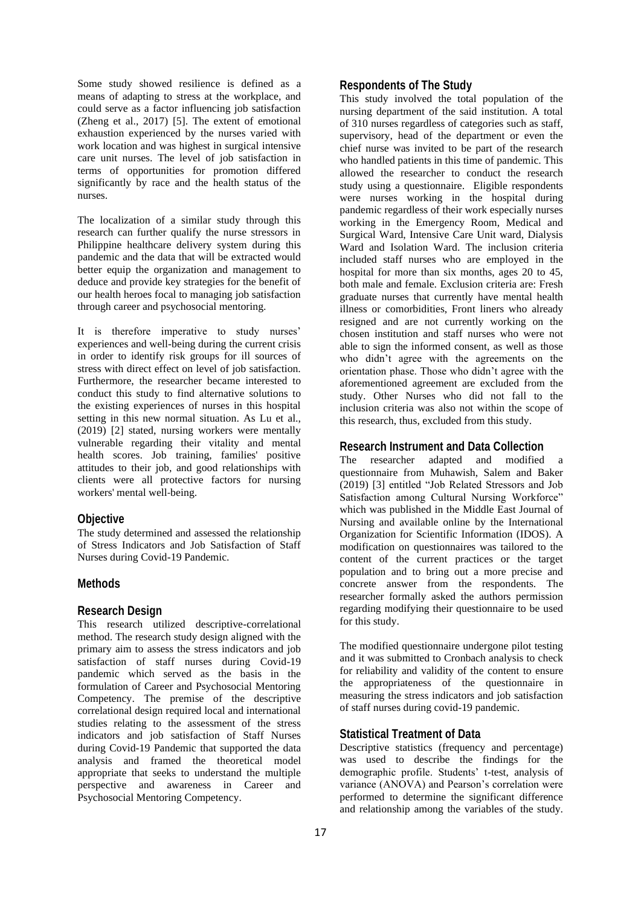Some study showed resilience is defined as a means of adapting to stress at the workplace, and could serve as a factor influencing job satisfaction (Zheng et al., 2017) [5]. The extent of emotional exhaustion experienced by the nurses varied with work location and was highest in surgical intensive care unit nurses. The level of job satisfaction in terms of opportunities for promotion differed significantly by race and the health status of the nurses.

The localization of a similar study through this research can further qualify the nurse stressors in Philippine healthcare delivery system during this pandemic and the data that will be extracted would better equip the organization and management to deduce and provide key strategies for the benefit of our health heroes focal to managing job satisfaction through career and psychosocial mentoring.

It is therefore imperative to study nurses' experiences and well-being during the current crisis in order to identify risk groups for ill sources of stress with direct effect on level of job satisfaction. Furthermore, the researcher became interested to conduct this study to find alternative solutions to the existing experiences of nurses in this hospital setting in this new normal situation. As Lu et al., (2019) [2] stated, nursing workers were mentally vulnerable regarding their vitality and mental health scores. Job training, families' positive attitudes to their job, and good relationships with clients were all protective factors for nursing workers' mental well-being.

#### **Objective**

The study determined and assessed the relationship of Stress Indicators and Job Satisfaction of Staff Nurses during Covid-19 Pandemic.

### **Methods**

#### **Research Design**

This research utilized descriptive-correlational method. The research study design aligned with the primary aim to assess the stress indicators and job satisfaction of staff nurses during Covid-19 pandemic which served as the basis in the formulation of Career and Psychosocial Mentoring Competency. The premise of the descriptive correlational design required local and international studies relating to the assessment of the stress indicators and job satisfaction of Staff Nurses during Covid-19 Pandemic that supported the data analysis and framed the theoretical model appropriate that seeks to understand the multiple perspective and awareness in Career and Psychosocial Mentoring Competency.

# **Respondents of The Study**

This study involved the total population of the nursing department of the said institution. A total of 310 nurses regardless of categories such as staff, supervisory, head of the department or even the chief nurse was invited to be part of the research who handled patients in this time of pandemic. This allowed the researcher to conduct the research study using a questionnaire. Eligible respondents were nurses working in the hospital during pandemic regardless of their work especially nurses working in the Emergency Room, Medical and Surgical Ward, Intensive Care Unit ward, Dialysis Ward and Isolation Ward. The inclusion criteria included staff nurses who are employed in the hospital for more than six months, ages 20 to 45, both male and female. Exclusion criteria are: Fresh graduate nurses that currently have mental health illness or comorbidities, Front liners who already resigned and are not currently working on the chosen institution and staff nurses who were not able to sign the informed consent, as well as those who didn't agree with the agreements on the orientation phase. Those who didn't agree with the aforementioned agreement are excluded from the study. Other Nurses who did not fall to the inclusion criteria was also not within the scope of this research, thus, excluded from this study.

#### **Research Instrument and Data Collection**

The researcher adapted and modified a questionnaire from Muhawish, Salem and Baker (2019) [3] entitled "Job Related Stressors and Job Satisfaction among Cultural Nursing Workforce" which was published in the Middle East Journal of Nursing and available online by the International Organization for Scientific Information (IDOS). A modification on questionnaires was tailored to the content of the current practices or the target population and to bring out a more precise and concrete answer from the respondents. The researcher formally asked the authors permission regarding modifying their questionnaire to be used for this study.

The modified questionnaire undergone pilot testing and it was submitted to Cronbach analysis to check for reliability and validity of the content to ensure the appropriateness of the questionnaire in measuring the stress indicators and job satisfaction of staff nurses during covid-19 pandemic.

#### **Statistical Treatment of Data**

Descriptive statistics (frequency and percentage) was used to describe the findings for the demographic profile. Students' t-test, analysis of variance (ANOVA) and Pearson's correlation were performed to determine the significant difference and relationship among the variables of the study.